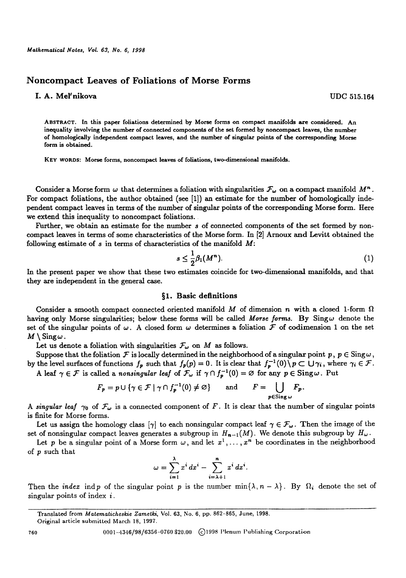# **Noncompact Leaves of Foliations of Morse Forms**

## **I. A. Mel'nlkova** UDC 515.164

ABSTRACT. In **this paper foliations** determined by Morse forms on compact manifolds are considered. An inequality involving the number of connected components of the set formed by noncompact **leaves, the number**  of homologically independent compact leaves, and the number of singular points of **the corresponding Morse**  form is obtained.

KEY WORDS: Morse forms, noncompact leaves of **foliations, two-dimensional** manifolds.

Consider a Morse form  $\omega$  that determines a foliation with singularities  $\mathcal{F}_{\omega}$  on a compact manifold  $M^{n}$ . For compact foliations, the author obtained (see [1]) an estimate for the number of homologically independent compact leaves in terms of the number of singular points of the corresponding Morse form. Here we extend this inequality to noncompact foliations.

Further, we obtain an estimate for the number s of connected components of the set formed by noncompact leaves in terms of some characteristics of the Morse form. In [2] Arnoux and Levitt obtained the following estimate of  $s$  in terms of characteristics of the manifold  $M$ :

$$
s \leq \frac{1}{2}\beta_1(M^n). \tag{1}
$$

In the present paper we show that these two estimates coincide for two-dimensional manifolds, and that they are independent in the general case.

### §1. Basic definitions

Consider a smooth compact connected oriented manifold  $M$  of dimension n with a closed 1-form  $\Omega$ having only Morse singularities; below these forms will be called Morse *farms.* By Singw denote the set of the singular points of  $\omega$ . A closed form  $\omega$  determines a foliation  $\mathcal F$  of codimension 1 on the set  $M \setminus$  Sing  $\omega$ .

Let us denote a foliation with singularities  $\mathcal{F}_{\omega}$  on M as follows.

Suppose that the foliation  ${\cal F}$  is locally determined in the neighborhood of a singular point  $p$ ,  $p\in{\rm Sing}\,\omega$ , by the level surfaces of functions  $f_p$  such that  $f_p(p) = 0$ . It is clear that  $f_p^{-1}(0)\backslash p \subset \bigcup \gamma_i$ , where  $\gamma_i \in \mathcal{F}$ . A leaf  $\gamma \in \mathcal{F}$  is called a *nonsingular leaf* of  $\mathcal{F}_{\omega}$  if  $\gamma \cap f_{p}^{-1}(0) = \emptyset$  for any  $p \in \text{Sing } \omega$ . Put

$$
F_p = p \cup \{ \gamma \in \mathcal{F} \mid \gamma \cap f_p^{-1}(0) \neq \varnothing \} \quad \text{and} \quad F = \bigcup_{p \in \text{Sing } \omega} F_p.
$$

A singular leaf  $\gamma_0$  of  $\mathcal{F}_{\omega}$  is a connected component of F. It is clear that the number of singular points is finite for Morse forms.

Let us assign the homology class  $[\gamma]$  to each nonsingular compact leaf  $\gamma \in \mathcal{F}_{\omega}$ . Then the image of the set of nonsingular compact leaves generates a subgroup in  $H_{n-1}(M)$ . We denote this subgroup by  $H_{\omega}$ .

Let p be a singular point of a Morse form  $\omega$ , and let  $x^1, \ldots, x^n$  be coordinates in the neighborhood of p such that

$$
\omega=\sum_{i=1}^{\lambda}x^i\,dx^i-\sum_{i=\lambda+1}^n x^i\,dx^i.
$$

Then the *index* indp of the singular point p is the number min $\{\lambda, n - \lambda\}$ . By  $\Omega_i$  denote the set of singular points of index *i.* 

Translated from *Matemalicheskie Zamelki,* Vol. 63, No. 6, pp. 862-865, June, 1998.

Original article submitted March 18, 1997.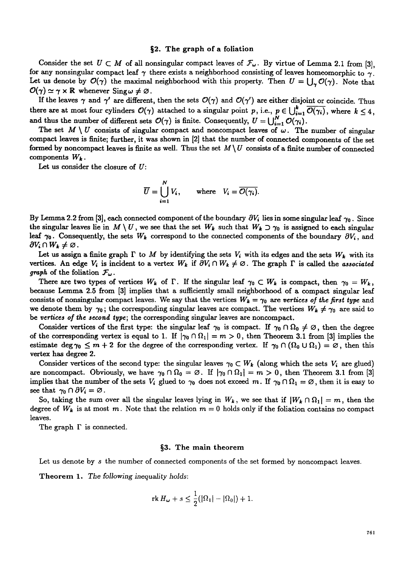### §2. The graph of a foliation

Consider the set  $U \subset M$  of all nonsingular compact leaves of  $\mathcal{F}_{\omega}$ . By virtue of Lemma 2.1 from [3], for any nonsingular compact leaf  $\gamma$  there exists a neighborhood consisting of leaves homeomorphic to  $\gamma$ . Let us denote by  $\mathcal{O}(\gamma)$  the maximal neighborhood with this property. Then  $U = \bigcup_{\gamma} \mathcal{O}(\gamma)$ . Note that  $\mathcal{O}(\gamma) \simeq \gamma \times \mathbb{R}$  whenever  $\text{Sing } \omega \neq \varnothing$ .

If the leaves  $\gamma$  and  $\gamma'$  are different, then the sets  $\mathcal{O}(\gamma)$  and  $\mathcal{O}(\gamma')$  are either disjoint or coincide. Thus there are at most four cylinders  $\mathcal{O}(\gamma)$  attached to a singular point p, i.e.,  $p \in \bigcup_{i=1}^k \overline{\mathcal{O}(\gamma_i)}$ , where  $k \leq 4$ , and thus the number of different sets  $\mathcal{O}(\gamma)$  is finite. Consequently,  $U = \bigcup_{i=1}^{N} \mathcal{O}(\gamma_i)$ .

The set  $M \setminus U$  consists of singular compact and noncompact leaves of  $\omega$ . The number of singular compact leaves is finite; further, it was shown in [2] that the number of connected components of the set formed by noncompact leaves is finite as well. Thus the set  $M \setminus U$  consists of a finite number of connected components  $W_k$ .

Let us consider the closure of U:

$$
\overline{U} = \bigcup_{i=1}^{N} V_i, \quad \text{where} \quad V_i = \overline{O(\gamma_i)}.
$$

By Lemma 2.2 from [3], each connected component of the boundary  $\partial V_i$  lies in some singular leaf  $\gamma_0$ . Since the singular leaves lie in  $M \setminus U$ , we see that the set  $W_k$  such that  $W_k \supset \gamma_0$  is assigned to each singular leaf  $\gamma_0$ . Consequently, the sets  $W_k$  correspond to the connected components of the boundary  $\partial V_i$ , and  $\partial V_i \cap W_k \neq \emptyset$ .

Let us assign a finite graph  $\Gamma$  to M by identifying the sets  $V_i$  with its edges and the sets  $W_k$  with its vertices. An edge  $V_i$  is incident to a vertex  $W_k$  if  $\partial V_i \cap W_k \neq \emptyset$ . The graph  $\Gamma$  is called the *associated graph* of the foliation  $F_{\omega}$ .

There are two types of vertices  $W_k$  of  $\Gamma$ . If the singular leaf  $\gamma_0 \subset W_k$  is compact, then  $\gamma_0 = W_k$ , because Lemma 2.5 from [3] implies that a sufficiently small neighborhood of a compact singular leaf consists of nonsingular compact leaves. We say that the vertices  $W_k = \gamma_0$  are *vertices of the first type* and we denote them by  $\gamma_0$ ; the corresponding singular leaves are compact. The vertices  $W_k \neq \gamma_0$  are said to be *vertices of the second type;* the corresponding singular leaves are noncompact.

Consider vertices of the first type: the singular leaf  $\gamma_0$  is compact. If  $\gamma_0 \cap \Omega_0 \neq \emptyset$ , then the degree of the corresponding vertex is equal to 1. If  $|\gamma_0 \cap \Omega_1| = m > 0$ , then Theorem 3.1 from [3] implies the estimate deg $\gamma_0 \leq m+2$  for the degree of the corresponding vertex. If  $\gamma_0 \cap (\Omega_0 \cup \Omega_1) = \emptyset$ , then this vertex has degree 2.

Consider vertices of the second type: the singular leaves  $\gamma_0 \subset W_k$  (along which the sets  $V_i$  are glued) are noncompact. Obviously, we have  $\gamma_0 \cap \Omega_0 = \emptyset$ . If  $|\gamma_0 \cap \Omega_1| = m > 0$ , then Theorem 3.1 from [3] implies that the number of the sets  $V_i$  glued to  $\gamma_0$  does not exceed m. If  $\gamma_0 \cap \Omega_1 = \emptyset$ , then it is easy to see that  $\gamma_0 \cap \partial V_i = \varnothing$ .

So, taking the sum over all the singular leaves lying in  $W_k$ , we see that if  $|W_k \cap \Omega_1| = m$ , then the degree of  $W_k$  is at most m. Note that the relation  $m = 0$  holds only if the foliation contains no compact leaves.

The graph  $\Gamma$  is connected.

## §3. The main theorem

Let us denote by s the number of connected components of the set formed by noncompact leaves.

Theorem 1. *The following inequality holds:* 

$$
\operatorname{rk} H_{\omega} + s \leq \frac{1}{2} (|\Omega_1| - |\Omega_0|) + 1.
$$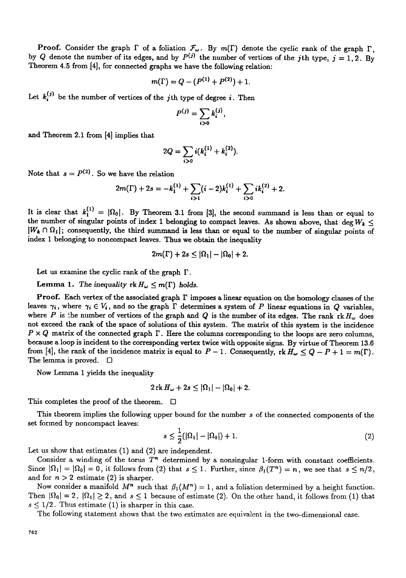**Proof.** Consider the graph  $\Gamma$  of a foliation  $\mathcal{F}_{\omega}$ . By  $m(\Gamma)$  denote the cyclic rank of the graph  $\Gamma$ , by Q denote the number of its edges, and by  $P^{(j)}$  the number of vertices of the j<sup>th</sup> type,  $j = 1, 2$ . By Theorem 4.5 from [4], for connected graphs we have the following relation:

$$
m(\Gamma) = Q - (P^{(1)} + P^{(2)}) + 1.
$$

Let  $k_i^{(j)}$  be the number of vertices of the jth type of degree i. Then

$$
P^{(j)}=\sum_{i>0}k_i^{(j)},
$$

and Theorem 2.1 from [4] implies that

$$
2Q = \sum_{i>0} i(k_i^{(1)} + k_i^{(2)}).
$$

Note that  $s = P^{(2)}$ . So we have the relation

$$
2m(\Gamma) + 2s = -k_1^{(1)} + \sum_{i>1} (i-2)k_i^{(1)} + \sum_{i>0} ik_i^{(2)} + 2.
$$

It is clear that  $k_1^{(1)} = |\Omega_0|$ . By Theorem 3.1 from [3], the second summand is less than or equal to the number of singular points of index 1 belonging to compact leaves. As shown above, that deg  $W_k \leq$  $|W_k \cap \Omega_1|$ ; consequently, the third summand is less than or equal to the number of singular points of index 1 belonging to noncompact leaves. Thus we obtain the inequality

$$
2m(\Gamma)+2s\leq |\Omega_1|-|\Omega_0|+2.
$$

Let us examine the cyclic rank of the graph  $\Gamma$ .

Lemma 1. The inequality  $rk H_{\omega} \leq m(\Gamma)$  holds.

**Proof.** Each vertex of the associated graph  $\Gamma$  imposes a linear equation on the homology classes of the leaves  $\gamma_i$ , where  $\gamma_i \in V_i$ , and so the graph  $\Gamma$  determines a system of P linear equations in Q variables, where P is the number of vertices of the graph and Q is the number of its edges. The rank rk  $H_{\omega}$  does not exceed the rank of the space of solutions of this system. The matrix of this system is the incidence  $P \times Q$  matrix of the connected graph  $\Gamma$ . Here the columns corresponding to the loops are zero columns, because a loop is incident to the corresponding vertex twice with opposite signs. By virtue of Theorem 13.6 from [4], the rank of the incidence matrix is equal to  $P-1$ . Consequently,  $rk H_{\omega} \leq Q - P + 1 = m(\Gamma)$ . The lemma is proved.  $\Box$ 

Now Lemma 1 yields the inequality

$$
2\operatorname{rk} H_{\omega}+2s\leq |\Omega_1|-|\Omega_0|+2.
$$

This completes the proof of the theorem.  $\Box$ 

This theorem implies the following upper bound for the number s of the connected components of the set formed by noncompact leaves:

$$
s \leq \frac{1}{2}(|\Omega_1| - |\Omega_0|) + 1. \tag{2}
$$

Let us show that estimates (1) and (2) are independent.

Consider a winding of the torus  $T<sup>n</sup>$  determined by a nonsingular 1-form with constant coefficients. Since  $|\Omega_1| = |\Omega_0| = 0$ , it follows from (2) that  $s \leq 1$ . Further, since  $\beta_1(T^n) = n$ , we see that  $s \leq n/2$ , and for  $n > 2$  estimate (2) is sharper.

Now consider a manifold  $M^n$  such that  $\beta_1(M^n) = 1$ , and a foliation determined by a height function. Then  $|\Omega_0| = 2$ ,  $|\Omega_1| \ge 2$ , and  $s \le 1$  because of estimate (2). On the other hand, it follows from (1) that  $s \leq 1/2$ . Thus estimate (1) is sharper in this case.

The following statement shows that the two estimates are equivalent in the two-dimensional case.